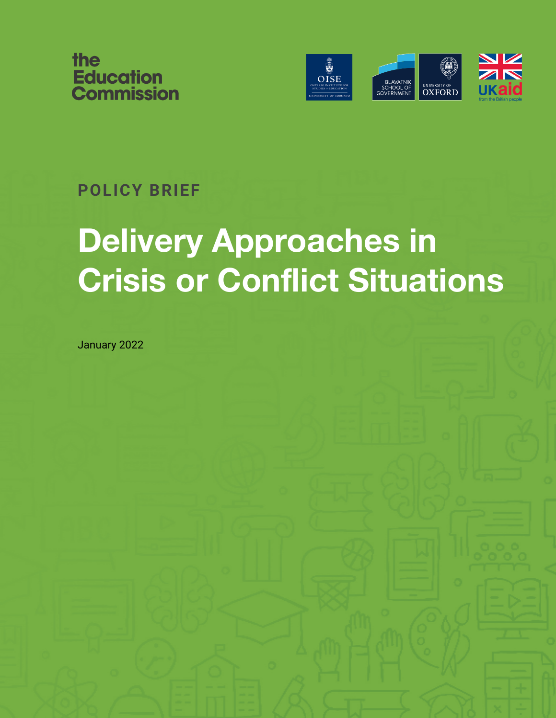



### **POLICY BRIEF**

# **Delivery Approaches in Crisis or Conflict Situations**

January 2022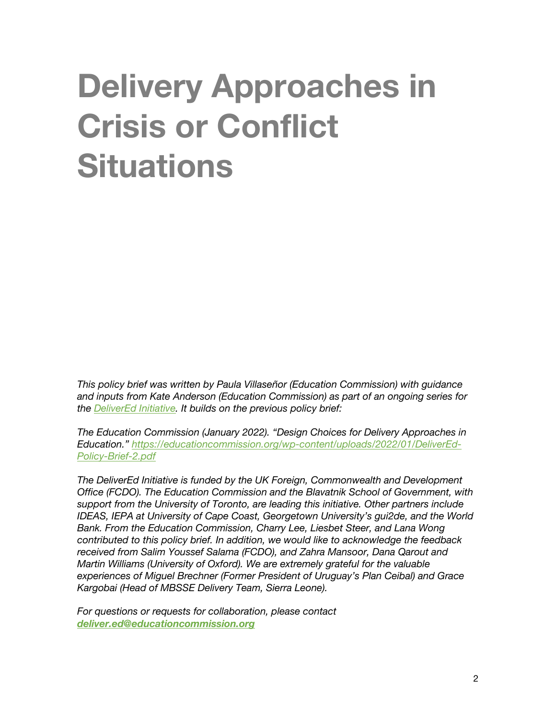# **Delivery Approaches in Crisis or Conflict Situations**

*This policy brief was written by Paula Villaseñor (Education Commission) with guidance and inputs from Kate Anderson (Education Commission) as part of an ongoing series for the DeliverEd Initiative. It builds on the previous policy brief:*

*The Education Commission (January 2022). "Design Choices for Delivery Approaches in Education." https://educationcommission.org/wp-content/uploads/2022/01/DeliverEd-Policy-Brief-2.pdf*

*The DeliverEd Initiative is funded by the UK Foreign, Commonwealth and Development Office (FCDO). The Education Commission and the Blavatnik School of Government, with support from the University of Toronto, are leading this initiative. Other partners include IDEAS, IEPA at University of Cape Coast, Georgetown University's gui2de, and the World Bank. From the Education Commission, Charry Lee, Liesbet Steer, and Lana Wong contributed to this policy brief. In addition, we would like to acknowledge the feedback received from Salim Youssef Salama (FCDO), and Zahra Mansoor, Dana Qarout and Martin Williams (University of Oxford). We are extremely grateful for the valuable experiences of Miguel Brechner (Former President of Uruguay's Plan Ceibal) and Grace Kargobai (Head of MBSSE Delivery Team, Sierra Leone).* 

*For questions or requests for collaboration, please contact deliver.ed@educationcommission.org*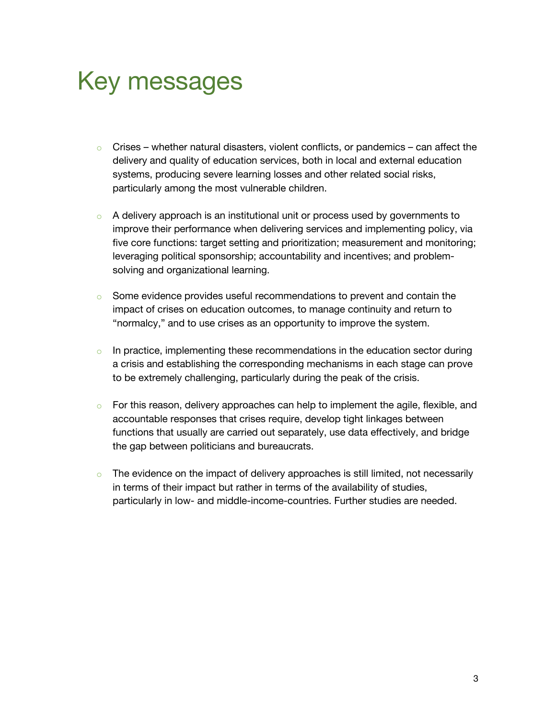### Key messages

- $\circ$  Crises whether natural disasters, violent conflicts, or pandemics can affect the delivery and quality of education services, both in local and external education systems, producing severe learning losses and other related social risks, particularly among the most vulnerable children.
- $\circ$  A delivery approach is an institutional unit or process used by governments to improve their performance when delivering services and implementing policy, via five core functions: target setting and prioritization; measurement and monitoring; leveraging political sponsorship; accountability and incentives; and problemsolving and organizational learning.
- $\circ$  Some evidence provides useful recommendations to prevent and contain the impact of crises on education outcomes, to manage continuity and return to "normalcy," and to use crises as an opportunity to improve the system.
- $\circ$  In practice, implementing these recommendations in the education sector during a crisis and establishing the corresponding mechanisms in each stage can prove to be extremely challenging, particularly during the peak of the crisis.
- $\circ$  For this reason, delivery approaches can help to implement the agile, flexible, and accountable responses that crises require, develop tight linkages between functions that usually are carried out separately, use data effectively, and bridge the gap between politicians and bureaucrats.
- $\circ$  The evidence on the impact of delivery approaches is still limited, not necessarily in terms of their impact but rather in terms of the availability of studies, particularly in low- and middle-income-countries. Further studies are needed.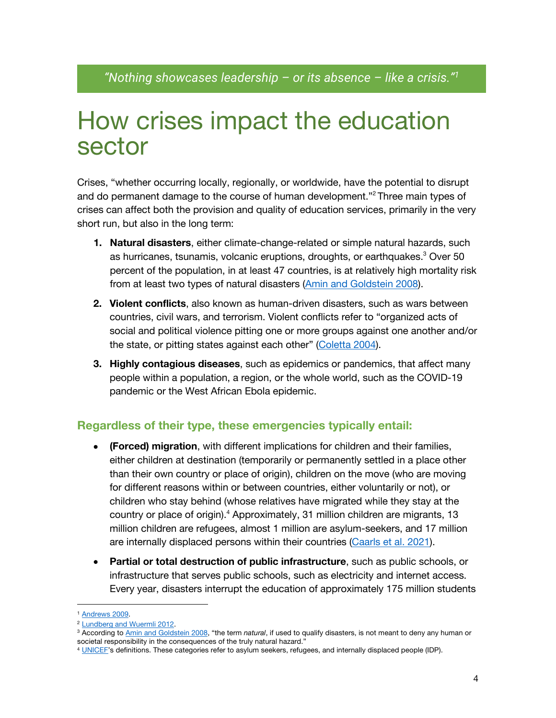### How crises impact the education sector

Crises, "whether occurring locally, regionally, or worldwide, have the potential to disrupt and do permanent damage to the course of human development."<sup>2</sup> Three main types of crises can affect both the provision and quality of education services, primarily in the very short run, but also in the long term:

- **1. Natural disasters**, either climate-change-related or simple natural hazards, such as hurricanes, tsunamis, volcanic eruptions, droughts, or earthquakes. <sup>3</sup> Over 50 percent of the population, in at least 47 countries, is at relatively high mortality risk from at least two types of natural disasters (Amin and Goldstein 2008).
- **2. Violent conflicts**, also known as human-driven disasters, such as wars between countries, civil wars, and terrorism. Violent conflicts refer to "organized acts of social and political violence pitting one or more groups against one another and/or the state, or pitting states against each other" (Coletta 2004).
- **3. Highly contagious diseases**, such as epidemics or pandemics, that affect many people within a population, a region, or the whole world, such as the COVID-19 pandemic or the West African Ebola epidemic.

#### **Regardless of their type, these emergencies typically entail:**

- **(Forced) migration**, with different implications for children and their families, either children at destination (temporarily or permanently settled in a place other than their own country or place of origin), children on the move (who are moving for different reasons within or between countries, either voluntarily or not), or children who stay behind (whose relatives have migrated while they stay at the country or place of origin). <sup>4</sup> Approximately, 31 million children are migrants, 13 million children are refugees, almost 1 million are asylum-seekers, and 17 million are internally displaced persons within their countries (Caarls et al. 2021).
- **Partial or total destruction of public infrastructure**, such as public schools, or infrastructure that serves public schools, such as electricity and internet access. Every year, disasters interrupt the education of approximately 175 million students

<sup>1</sup> Andrews 2009.

<sup>2</sup> Lundberg and Wuermli 2012.

<sup>3</sup> According to Amin and Goldstein 2008, "the term *natural*, if used to qualify disasters, is not meant to deny any human or societal responsibility in the consequences of the truly natural hazard."

<sup>4</sup> UNICEF's definitions. These categories refer to asylum seekers, refugees, and internally displaced people (IDP).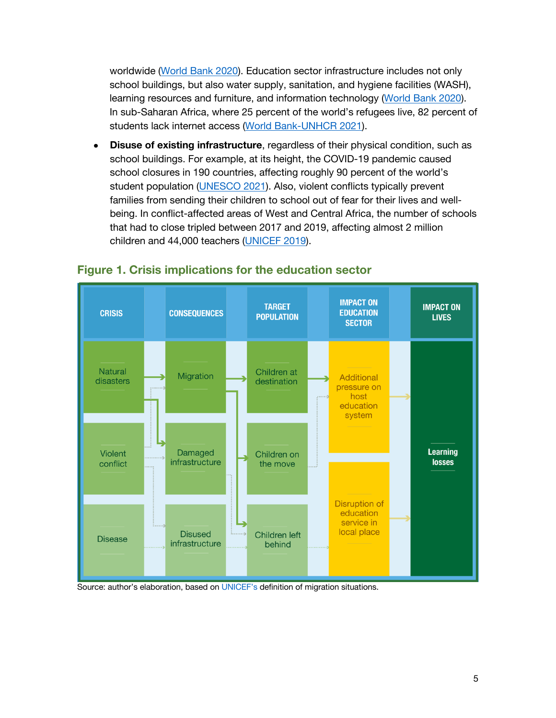worldwide (World Bank 2020). Education sector infrastructure includes not only school buildings, but also water supply, sanitation, and hygiene facilities (WASH), learning resources and furniture, and information technology (World Bank 2020). In sub-Saharan Africa, where 25 percent of the world's refugees live, 82 percent of students lack internet access (World Bank-UNHCR 2021).

• **Disuse of existing infrastructure**, regardless of their physical condition, such as school buildings. For example, at its height, the COVID-19 pandemic caused school closures in 190 countries, affecting roughly 90 percent of the world's student population (UNESCO 2021). Also, violent conflicts typically prevent families from sending their children to school out of fear for their lives and wellbeing. In conflict-affected areas of West and Central Africa, the number of schools that had to close tripled between 2017 and 2019, affecting almost 2 million children and 44,000 teachers (UNICEF 2019).



#### **Figure 1. Crisis implications for the education sector**

Source: author's elaboration, based on UNICEF's definition of migration situations.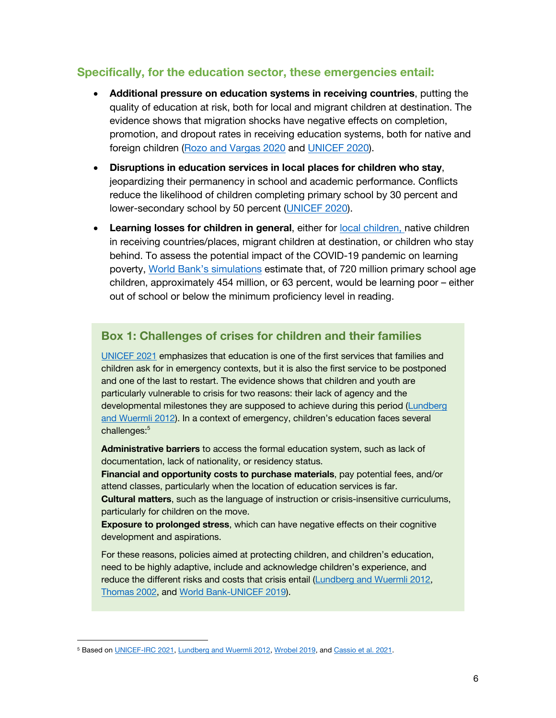#### **Specifically, for the education sector, these emergencies entail:**

- **Additional pressure on education systems in receiving countries**, putting the quality of education at risk, both for local and migrant children at destination. The evidence shows that migration shocks have negative effects on completion, promotion, and dropout rates in receiving education systems, both for native and foreign children (Rozo and Vargas 2020 and UNICEF 2020).
- **Disruptions in education services in local places for children who stay**, jeopardizing their permanency in school and academic performance. Conflicts reduce the likelihood of children completing primary school by 30 percent and lower-secondary school by 50 percent (UNICEF 2020).
- **Learning losses for children in general**, either for local children, native children in receiving countries/places, migrant children at destination, or children who stay behind. To assess the potential impact of the COVID-19 pandemic on learning poverty, World Bank's simulations estimate that, of 720 million primary school age children, approximately 454 million, or 63 percent, would be learning poor – either out of school or below the minimum proficiency level in reading.

#### **Box 1: Challenges of crises for children and their families**

UNICEF 2021 emphasizes that education is one of the first services that families and children ask for in emergency contexts, but it is also the first service to be postponed and one of the last to restart. The evidence shows that children and youth are particularly vulnerable to crisis for two reasons: their lack of agency and the developmental milestones they are supposed to achieve during this period (Lundberg and Wuermli 2012). In a context of emergency, children's education faces several challenges: 5

• **Administrative barriers** to access the formal education system, such as lack of documentation, lack of nationality, or residency status.

• **Financial and opportunity costs to purchase materials**, pay potential fees, and/or attend classes, particularly when the location of education services is far.

• **Cultural matters**, such as the language of instruction or crisis-insensitive curriculums, particularly for children on the move.

**Exposure to prolonged stress**, which can have negative effects on their cognitive development and aspirations.

For these reasons, policies aimed at protecting children, and children's education, need to be highly adaptive, include and acknowledge children's experience, and reduce the different risks and costs that crisis entail (Lundberg and Wuermli 2012, Thomas 2002, and World Bank-UNICEF 2019).

<sup>5</sup> Based on UNICEF-IRC 2021, Lundberg and Wuermli 2012, Wrobel 2019, and Cassio et al. 2021.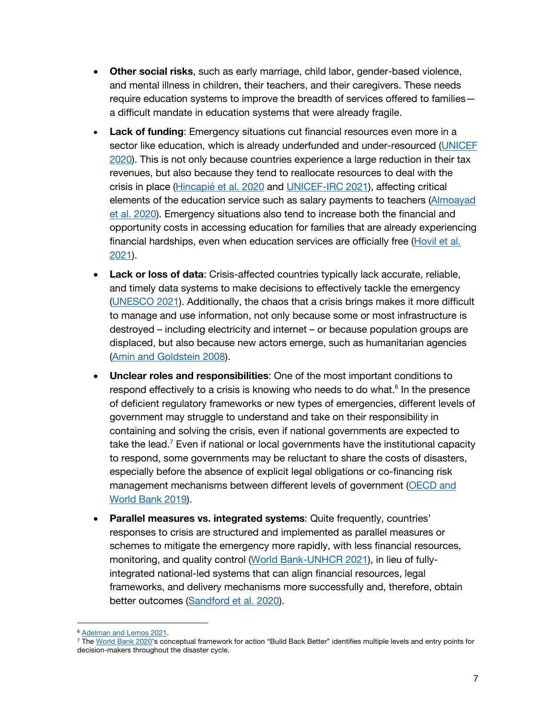- **Other social risks**, such as early marriage, child labor, gender-based violence, and mental illness in children, their teachers, and their caregivers. These needs require education systems to improve the breadth of services offered to families a difficult mandate in education systems that were already fragile.
- **Lack of funding:** Emergency situations cut financial resources even more in a sector like education, which is already underfunded and under-resourced (UNICEF 2020). This is not only because countries experience a large reduction in their tax revenues, but also because they tend to reallocate resources to deal with the crisis in place (Hincapié et al. 2020 and UNICEF-IRC 2021), affecting critical elements of the education service such as salary payments to teachers (Almoayad et al. 2020). Emergency situations also tend to increase both the financial and opportunity costs in accessing education for families that are already experiencing financial hardships, even when education services are officially free (Hovil et al. 2021).
- **Lack or loss of data**: Crisis-affected countries typically lack accurate, reliable, and timely data systems to make decisions to effectively tackle the emergency (UNESCO 2021). Additionally, the chaos that a crisis brings makes it more difficult to manage and use information, not only because some or most infrastructure is destroyed – including electricity and internet – or because population groups are displaced, but also because new actors emerge, such as humanitarian agencies (Amin and Goldstein 2008).
- **Unclear roles and responsibilities**: One of the most important conditions to respond effectively to a crisis is knowing who needs to do what. $6$  In the presence of deficient regulatory frameworks or new types of emergencies, different levels of government may struggle to understand and take on their responsibility in containing and solving the crisis, even if national governments are expected to take the lead.<sup>7</sup> Even if national or local governments have the institutional capacity to respond, some governments may be reluctant to share the costs of disasters, especially before the absence of explicit legal obligations or co-financing risk management mechanisms between different levels of government (OECD and World Bank 2019).
- **Parallel measures vs. integrated systems**: Quite frequently, countries' responses to crisis are structured and implemented as parallel measures or schemes to mitigate the emergency more rapidly, with less financial resources, monitoring, and quality control (World Bank-UNHCR 2021), in lieu of fullyintegrated national-led systems that can align financial resources, legal frameworks, and delivery mechanisms more successfully and, therefore, obtain better outcomes (Sandford et al. 2020).

<sup>&</sup>lt;sup>6</sup> Adelman and Lemos 2021.<br><sup>7</sup> The World Bank 2020's conceptual framework for action "Build Back Better" identifies multiple levels and entry points for decision-makers throughout the disaster cycle.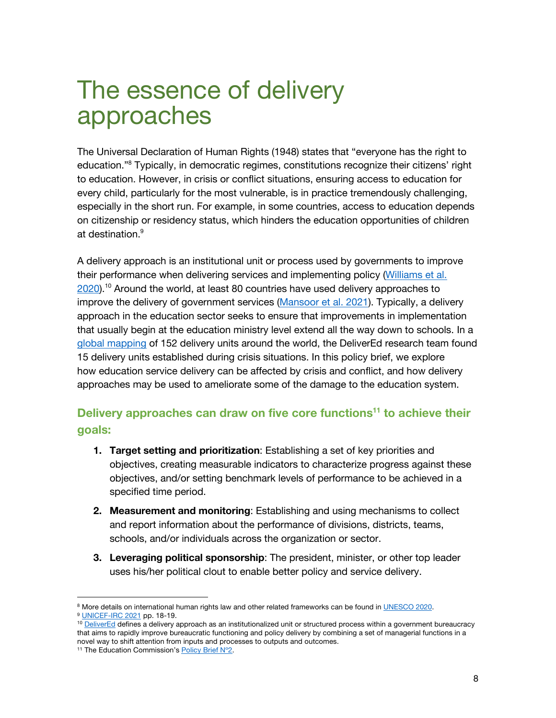### The essence of delivery approaches

The Universal Declaration of Human Rights (1948) states that "everyone has the right to education."8 Typically, in democratic regimes, constitutions recognize their citizens' right to education. However, in crisis or conflict situations, ensuring access to education for every child, particularly for the most vulnerable, is in practice tremendously challenging, especially in the short run. For example, in some countries, access to education depends on citizenship or residency status, which hinders the education opportunities of children at destination.<sup>9</sup>

A delivery approach is an institutional unit or process used by governments to improve their performance when delivering services and implementing policy (Williams et al. 2020).<sup>10</sup> Around the world, at least 80 countries have used delivery approaches to improve the delivery of government services (Mansoor et al. 2021). Typically, a delivery approach in the education sector seeks to ensure that improvements in implementation that usually begin at the education ministry level extend all the way down to schools. In a global mapping of 152 delivery units around the world, the DeliverEd research team found 15 delivery units established during crisis situations. In this policy brief, we explore how education service delivery can be affected by crisis and conflict, and how delivery approaches may be used to ameliorate some of the damage to the education system.

### **Delivery approaches can draw on five core functions<sup>11</sup> to achieve their goals:**

- **1. Target setting and prioritization**: Establishing a set of key priorities and objectives, creating measurable indicators to characterize progress against these objectives, and/or setting benchmark levels of performance to be achieved in a specified time period.
- **2. Measurement and monitoring**: Establishing and using mechanisms to collect and report information about the performance of divisions, districts, teams, schools, and/or individuals across the organization or sector.
- **3. Leveraging political sponsorship**: The president, minister, or other top leader uses his/her political clout to enable better policy and service delivery.

<sup>8</sup> More details on international human rights law and other related frameworks can be found in UNESCO 2020. <sup>9</sup> UNICEF-IRC 2021 pp. 18-19.

<sup>&</sup>lt;sup>10</sup> DeliverEd defines a delivery approach as an institutionalized unit or structured process within a government bureaucracy that aims to rapidly improve bureaucratic functioning and policy delivery by combining a set of managerial functions in a novel way to shift attention from inputs and processes to outputs and outcomes.

<sup>&</sup>lt;sup>11</sup> The Education Commission's Policy Brief N°2.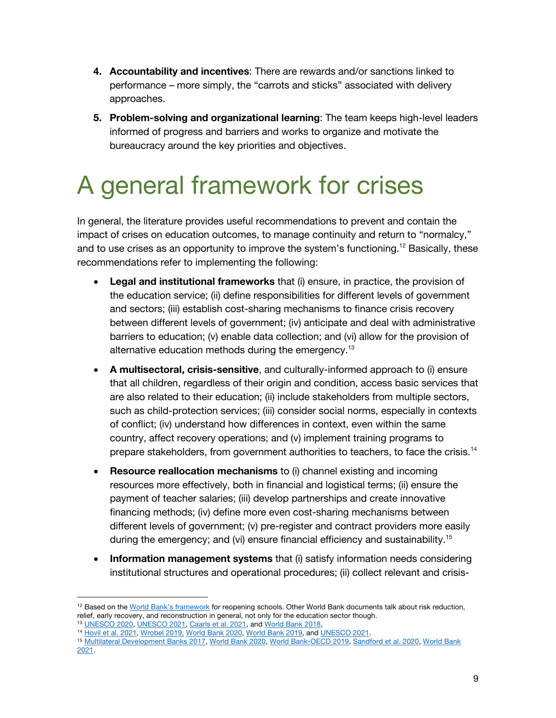- **4. Accountability and incentives**: There are rewards and/or sanctions linked to performance – more simply, the "carrots and sticks" associated with delivery approaches.
- **5. Problem-solving and organizational learning**: The team keeps high-level leaders informed of progress and barriers and works to organize and motivate the bureaucracy around the key priorities and objectives.

## A general framework for crises

In general, the literature provides useful recommendations to prevent and contain the impact of crises on education outcomes, to manage continuity and return to "normalcy," and to use crises as an opportunity to improve the system's functioning.<sup>12</sup> Basically, these recommendations refer to implementing the following:

- **Legal and institutional frameworks** that (i) ensure, in practice, the provision of the education service; (ii) define responsibilities for different levels of government and sectors; (iii) establish cost-sharing mechanisms to finance crisis recovery between different levels of government; (iv) anticipate and deal with administrative barriers to education; (v) enable data collection; and (vi) allow for the provision of alternative education methods during the emergency.<sup>13</sup>
- **A multisectoral, crisis-sensitive**, and culturally-informed approach to (i) ensure that all children, regardless of their origin and condition, access basic services that are also related to their education; (ii) include stakeholders from multiple sectors, such as child-protection services; (iii) consider social norms, especially in contexts of conflict; (iv) understand how differences in context, even within the same country, affect recovery operations; and (v) implement training programs to prepare stakeholders, from government authorities to teachers, to face the crisis.<sup>14</sup>
- **Resource reallocation mechanisms** to (i) channel existing and incoming resources more effectively, both in financial and logistical terms; (ii) ensure the payment of teacher salaries; (iii) develop partnerships and create innovative financing methods; (iv) define more even cost-sharing mechanisms between different levels of government; (v) pre-register and contract providers more easily during the emergency; and (vi) ensure financial efficiency and sustainability.15
- **Information management systems** that (i) satisfy information needs considering institutional structures and operational procedures; (ii) collect relevant and crisis-

<sup>&</sup>lt;sup>12</sup> Based on the World Bank's framework for reopening schools. Other World Bank documents talk about risk reduction, relief, early recovery, and reconstruction in general, not only for the education sector though.<br><sup>13</sup> <u>UNESCO 2020</u>, UNESCO 2021, Caarls et al. 2021, and World Bank 2018,<br><sup>14</sup> Hovil et al. 2021, Wrobel 2019, World Bank 202

<sup>2021.</sup>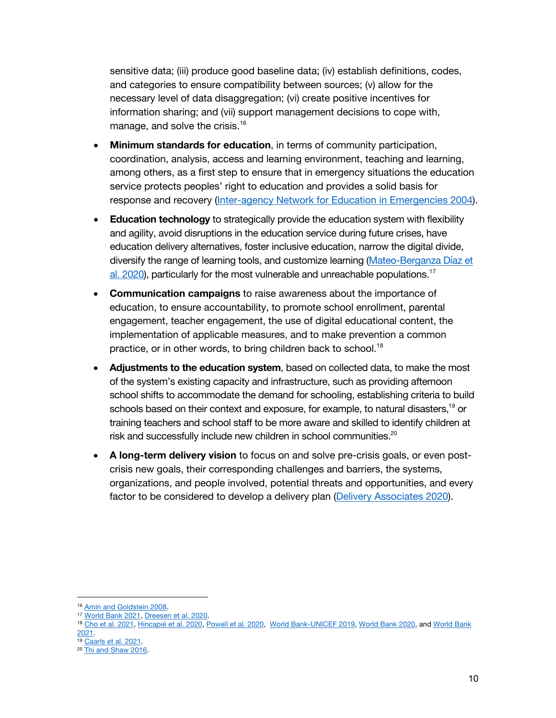sensitive data; (iii) produce good baseline data; (iv) establish definitions, codes, and categories to ensure compatibility between sources; (v) allow for the necessary level of data disaggregation; (vi) create positive incentives for information sharing; and (vii) support management decisions to cope with, manage, and solve the crisis.<sup>16</sup>

- **Minimum standards for education**, in terms of community participation, coordination, analysis, access and learning environment, teaching and learning, among others, as a first step to ensure that in emergency situations the education service protects peoples' right to education and provides a solid basis for response and recovery (Inter-agency Network for Education in Emergencies 2004).
- **Education technology** to strategically provide the education system with flexibility and agility, avoid disruptions in the education service during future crises, have education delivery alternatives, foster inclusive education, narrow the digital divide, diversify the range of learning tools, and customize learning (Mateo-Berganza Díaz et al. 2020), particularly for the most vulnerable and unreachable populations.<sup>17</sup>
- **Communication campaigns** to raise awareness about the importance of education, to ensure accountability, to promote school enrollment, parental engagement, teacher engagement, the use of digital educational content, the implementation of applicable measures, and to make prevention a common practice, or in other words, to bring children back to school.<sup>18</sup>
- **Adjustments to the education system**, based on collected data, to make the most of the system's existing capacity and infrastructure, such as providing afternoon school shifts to accommodate the demand for schooling, establishing criteria to build schools based on their context and exposure, for example, to natural disasters,<sup>19</sup> or training teachers and school staff to be more aware and skilled to identify children at risk and successfully include new children in school communities.<sup>20</sup>
- **A long-term delivery vision** to focus on and solve pre-crisis goals, or even postcrisis new goals, their corresponding challenges and barriers, the systems, organizations, and people involved, potential threats and opportunities, and every factor to be considered to develop a delivery plan (Delivery Associates 2020).

<sup>16</sup> Amin and Goldstein 2008.

<sup>&</sup>lt;sup>17</sup> World Bank 2021, Dreesen et al. 2020.<br><sup>18</sup> Cho et al. 2021, Hincapié et al. 2020, Powell et al. 2020, World Bank-UNICEF 2019, World Bank 2020, and World Bank 2021.

<sup>&</sup>lt;sup>19</sup> Caarls et al. 2021.<br><sup>20</sup> Thi and Shaw 2016.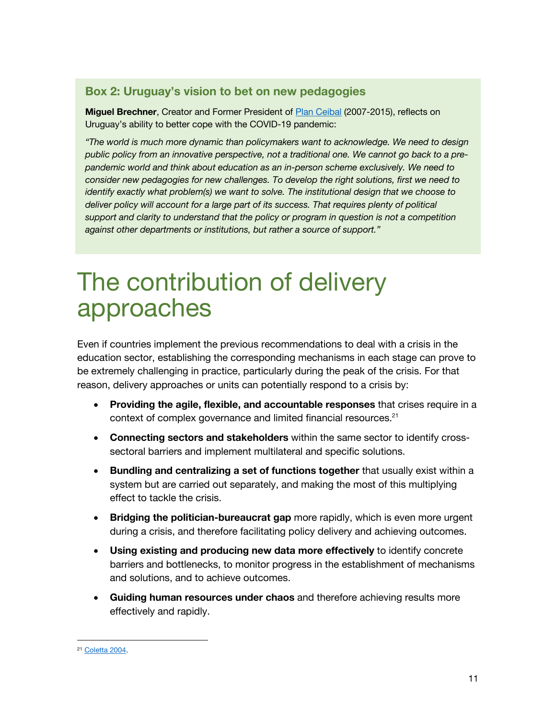#### **Box 2: Uruguay's vision to bet on new pedagogies**

**Miguel Brechner**, Creator and Former President of Plan Ceibal (2007-2015), reflects on Uruguay's ability to better cope with the COVID-19 pandemic:

*"The world is much more dynamic than policymakers want to acknowledge. We need to design public policy from an innovative perspective, not a traditional one. We cannot go back to a prepandemic world and think about education as an in-person scheme exclusively. We need to consider new pedagogies for new challenges. To develop the right solutions, first we need to identify exactly what problem(s) we want to solve. The institutional design that we choose to deliver policy will account for a large part of its success. That requires plenty of political support and clarity to understand that the policy or program in question is not a competition against other departments or institutions, but rather a source of support."*

### The contribution of delivery approaches

Even if countries implement the previous recommendations to deal with a crisis in the education sector, establishing the corresponding mechanisms in each stage can prove to be extremely challenging in practice, particularly during the peak of the crisis. For that reason, delivery approaches or units can potentially respond to a crisis by:

- **Providing the agile, flexible, and accountable responses** that crises require in a context of complex governance and limited financial resources.<sup>21</sup>
- **Connecting sectors and stakeholders** within the same sector to identify crosssectoral barriers and implement multilateral and specific solutions.
- **Bundling and centralizing a set of functions together** that usually exist within a system but are carried out separately, and making the most of this multiplying effect to tackle the crisis.
- **Bridging the politician-bureaucrat gap** more rapidly, which is even more urgent during a crisis, and therefore facilitating policy delivery and achieving outcomes.
- **Using existing and producing new data more effectively** to identify concrete barriers and bottlenecks, to monitor progress in the establishment of mechanisms and solutions, and to achieve outcomes.
- **Guiding human resources under chaos** and therefore achieving results more effectively and rapidly.

<sup>21</sup> Coletta 2004.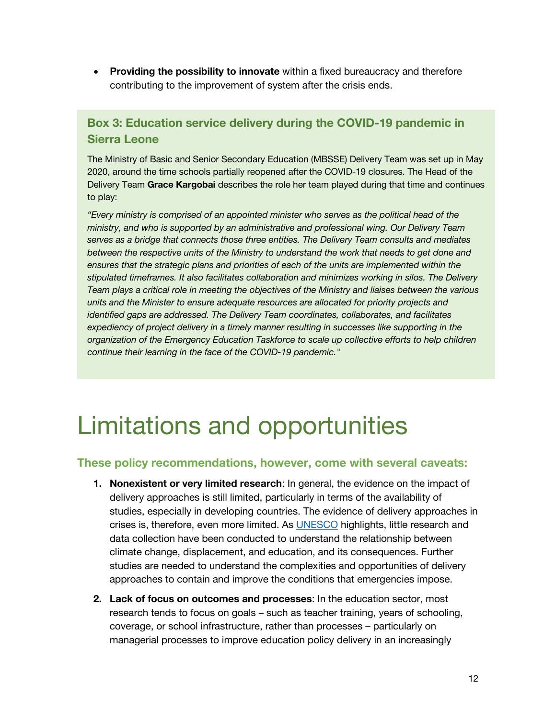• **Providing the possibility to innovate** within a fixed bureaucracy and therefore contributing to the improvement of system after the crisis ends.

### **Box 3: Education service delivery during the COVID-19 pandemic in Sierra Leone**

The Ministry of Basic and Senior Secondary Education (MBSSE) Delivery Team was set up in May 2020, around the time schools partially reopened after the COVID-19 closures. The Head of the Delivery Team **Grace Kargobai** describes the role her team played during that time and continues to play:

*"Every ministry is comprised of an appointed minister who serves as the political head of the ministry, and who is supported by an administrative and professional wing. Our Delivery Team serves as a bridge that connects those three entities. The Delivery Team consults and mediates between the respective units of the Ministry to understand the work that needs to get done and* ensures that the strategic plans and priorities of each of the units are implemented within the *stipulated timeframes. It also facilitates collaboration and minimizes working in silos. The Delivery Team plays a critical role in meeting the objectives of the Ministry and liaises between the various units and the Minister to ensure adequate resources are allocated for priority projects and identified gaps are addressed. The Delivery Team coordinates, collaborates, and facilitates expediency of project delivery in a timely manner resulting in successes like supporting in the organization of the Emergency Education Taskforce to scale up collective efforts to help children continue their learning in the face of the COVID-19 pandemic."*

### Limitations and opportunities

#### **These policy recommendations, however, come with several caveats:**

- **1. Nonexistent or very limited research**: In general, the evidence on the impact of delivery approaches is still limited, particularly in terms of the availability of studies, especially in developing countries. The evidence of delivery approaches in crises is, therefore, even more limited. As UNESCO highlights, little research and data collection have been conducted to understand the relationship between climate change, displacement, and education, and its consequences. Further studies are needed to understand the complexities and opportunities of delivery approaches to contain and improve the conditions that emergencies impose.
- **2. Lack of focus on outcomes and processes**: In the education sector, most research tends to focus on goals – such as teacher training, years of schooling, coverage, or school infrastructure, rather than processes – particularly on managerial processes to improve education policy delivery in an increasingly